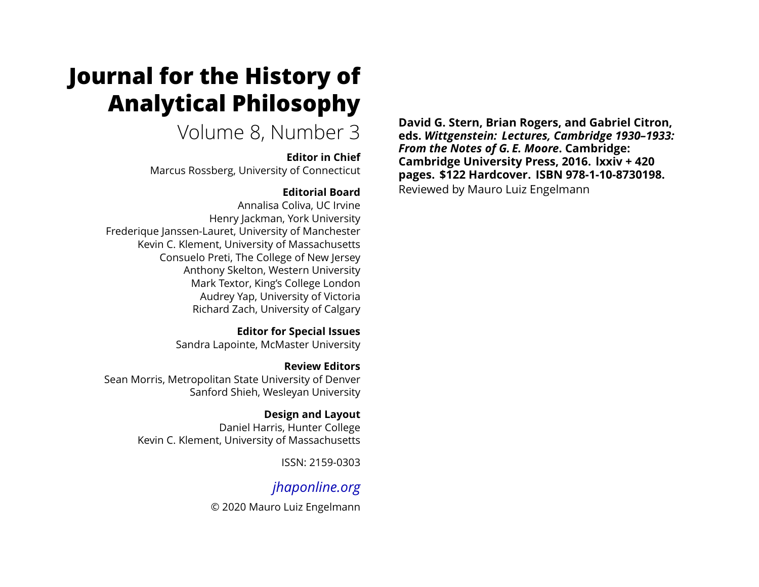# **Journal for the History of Analytical Philosophy**

Volume 8, Number 3

### **Editor in Chief**

Marcus Rossberg, University of Connecticut

## **Editorial Board**

Annalisa Coliva, UC Irvine Henry Jackman, York University Frederique Janssen-Lauret, University of Manchester Kevin C. Klement, University of Massachusetts Consuelo Preti, The College of New Jersey Anthony Skelton, Western University Mark Textor, King's College London Audrey Yap, University of Victoria Richard Zach, University of Calgary

> **Editor for Special Issues** Sandra Lapointe, McMaster University

**Review Editors** Sean Morris, Metropolitan State University of Denver Sanford Shieh, Wesleyan University

> **Design and Layout** Daniel Harris, Hunter College Kevin C. Klement, University of Massachusetts

> > ISSN: 2159-0303

# *[jhaponline.org](https://jhaponline.org)*

© 2020 Mauro Luiz Engelmann

**David G. Stern, Brian Rogers, and Gabriel Citron, eds.** *Wittgenstein: Lectures, Cambridge 1930–1933: From the Notes of G. E. Moore***. Cambridge: Cambridge University Press, 2016. lxxiv + 420 pages. \$122 Hardcover. ISBN 978-1-10-8730198.** Reviewed by Mauro Luiz Engelmann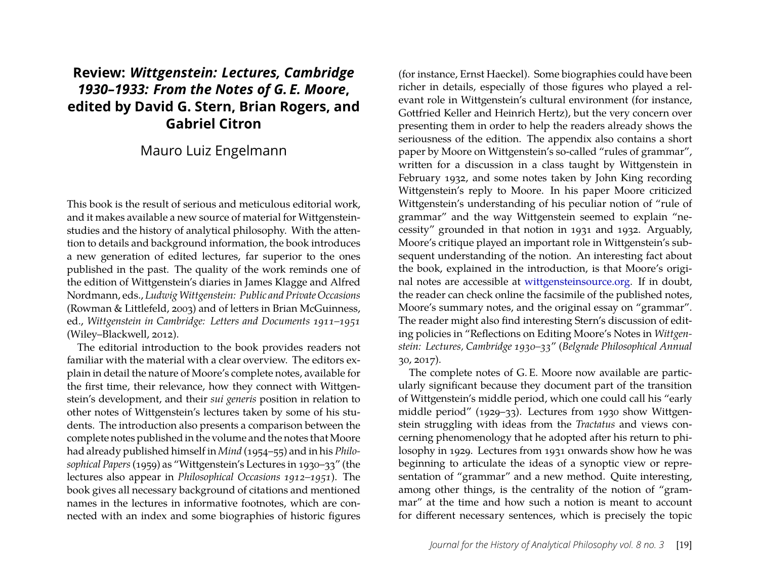## **Review:** *Wittgenstein: Lectures, Cambridge 1930–1933: From the Notes of G. E. Moore***, edited by David G. Stern, Brian Rogers, and Gabriel Citron**

### Mauro Luiz Engelmann

This book is the result of serious and meticulous editorial work, and it makes available a new source of material for Wittgensteinstudies and the history of analytical philosophy. With the attention to details and background information, the book introduces a new generation of edited lectures, far superior to the ones published in the past. The quality of the work reminds one of the edition of Wittgenstein's diaries in James Klagge and Alfred Nordmann, eds., *LudwigWittgenstein: Public and Private Occasions* (Rowman & Littlefeld, 2003) and of letters in Brian McGuinness, ed., *Wittgenstein in Cambridge: Letters and Documents 1911–1951* (Wiley–Blackwell, 2012).

The editorial introduction to the book provides readers not familiar with the material with a clear overview. The editors explain in detail the nature of Moore's complete notes, available for the first time, their relevance, how they connect with Wittgenstein's development, and their *sui generis* position in relation to other notes of Wittgenstein's lectures taken by some of his students. The introduction also presents a comparison between the complete notes published in the volume and the notes that Moore had already published himself in *Mind* (1954–55) and in his *Philosophical Papers*(1959) as "Wittgenstein's Lectures in 1930–33" (the lectures also appear in *Philosophical Occasions 1912–1951*). The book gives all necessary background of citations and mentioned names in the lectures in informative footnotes, which are connected with an index and some biographies of historic figures

(for instance, Ernst Haeckel). Some biographies could have been richer in details, especially of those figures who played a relevant role in Wittgenstein's cultural environment (for instance, Gottfried Keller and Heinrich Hertz), but the very concern over presenting them in order to help the readers already shows the seriousness of the edition. The appendix also contains a short paper by Moore on Wittgenstein's so-called "rules of grammar", written for a discussion in a class taught by Wittgenstein in February 1932, and some notes taken by John King recording Wittgenstein's reply to Moore. In his paper Moore criticized Wittgenstein's understanding of his peculiar notion of "rule of grammar" and the way Wittgenstein seemed to explain "necessity" grounded in that notion in 1931 and 1932. Arguably, Moore's critique played an important role in Wittgenstein's subsequent understanding of the notion. An interesting fact about the book, explained in the introduction, is that Moore's original notes are accessible at [wittgensteinsource.org.](http://wittgensteinsource.org) If in doubt, the reader can check online the facsimile of the published notes, Moore's summary notes, and the original essay on "grammar". The reader might also find interesting Stern's discussion of editing policies in "Reflections on Editing Moore's Notes in *Wittgenstein: Lectures, Cambridge 1930–33*" (*Belgrade Philosophical Annual* 30, 2017).

The complete notes of G. E. Moore now available are particularly significant because they document part of the transition of Wittgenstein's middle period, which one could call his "early middle period" (1929–33). Lectures from 1930 show Wittgenstein struggling with ideas from the *Tractatus* and views concerning phenomenology that he adopted after his return to philosophy in 1929. Lectures from 1931 onwards show how he was beginning to articulate the ideas of a synoptic view or representation of "grammar" and a new method. Quite interesting, among other things, is the centrality of the notion of "grammar" at the time and how such a notion is meant to account for different necessary sentences, which is precisely the topic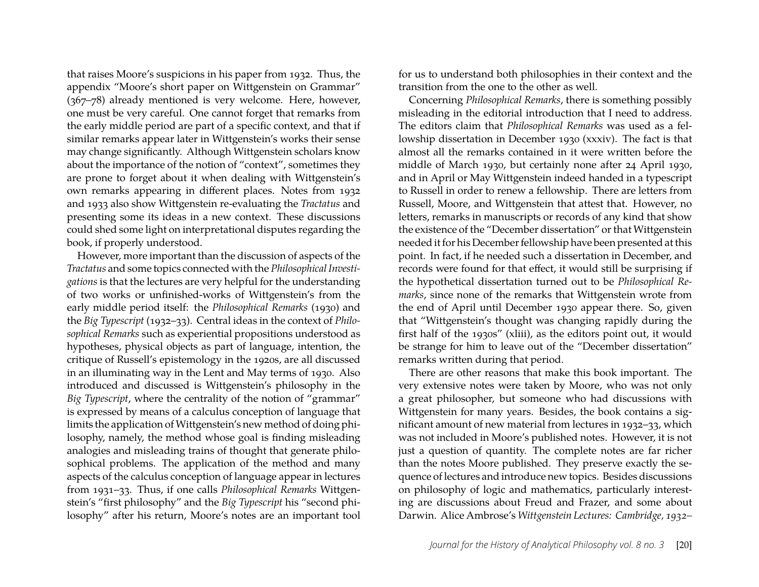that raises Moore's suspicions in his paper from 1932. Thus, the appendix "Moore's short paper on Wittgenstein on Grammar" (367–78) already mentioned is very welcome. Here, however, one must be very careful. One cannot forget that remarks from the early middle period are part of a specific context, and that if similar remarks appear later in Wittgenstein's works their sense may change significantly. Although Wittgenstein scholars know about the importance of the notion of "context", sometimes they are prone to forget about it when dealing with Wittgenstein's own remarks appearing in different places. Notes from 1932 and 1933 also show Wittgenstein re-evaluating the *Tractatus* and presenting some its ideas in a new context. These discussions could shed some light on interpretational disputes regarding the book, if properly understood.

However, more important than the discussion of aspects of the *Tractatus* and some topics connected with the *Philosophical Investigations* is that the lectures are very helpful for the understanding of two works or unfinished-works of Wittgenstein's from the early middle period itself: the *Philosophical Remarks* (1930) and the *Big Typescript* (1932–33). Central ideas in the context of *Philosophical Remarks* such as experiential propositions understood as hypotheses, physical objects as part of language, intention, the critique of Russell's epistemology in the 1920s, are all discussed in an illuminating way in the Lent and May terms of 1930. Also introduced and discussed is Wittgenstein's philosophy in the *Big Typescript*, where the centrality of the notion of "grammar" is expressed by means of a calculus conception of language that limits the application of Wittgenstein's new method of doing philosophy, namely, the method whose goal is finding misleading analogies and misleading trains of thought that generate philosophical problems. The application of the method and many aspects of the calculus conception of language appear in lectures from 1931–33. Thus, if one calls *Philosophical Remarks* Wittgenstein's "first philosophy" and the *Big Typescript* his "second philosophy" after his return, Moore's notes are an important tool for us to understand both philosophies in their context and the transition from the one to the other as well.

Concerning *Philosophical Remarks*, there is something possibly misleading in the editorial introduction that I need to address. The editors claim that *Philosophical Remarks* was used as a fellowship dissertation in December 1930 (xxxiv). The fact is that almost all the remarks contained in it were written before the middle of March 1930, but certainly none after 24 April 1930, and in April or May Wittgenstein indeed handed in a typescript to Russell in order to renew a fellowship. There are letters from Russell, Moore, and Wittgenstein that attest that. However, no letters, remarks in manuscripts or records of any kind that show the existence of the "December dissertation" or that Wittgenstein needed it for his December fellowship have been presented at this point. In fact, if he needed such a dissertation in December, and records were found for that effect, it would still be surprising if the hypothetical dissertation turned out to be *Philosophical Remarks*, since none of the remarks that Wittgenstein wrote from the end of April until December 1930 appear there. So, given that "Wittgenstein's thought was changing rapidly during the first half of the 1930s" (xliii), as the editors point out, it would be strange for him to leave out of the "December dissertation" remarks written during that period.

There are other reasons that make this book important. The very extensive notes were taken by Moore, who was not only a great philosopher, but someone who had discussions with Wittgenstein for many years. Besides, the book contains a significant amount of new material from lectures in 1932–33, which was not included in Moore's published notes. However, it is not just a question of quantity. The complete notes are far richer than the notes Moore published. They preserve exactly the sequence of lectures and introduce new topics. Besides discussions on philosophy of logic and mathematics, particularly interesting are discussions about Freud and Frazer, and some about Darwin. Alice Ambrose's *Wittgenstein Lectures: Cambridge, 1932–*